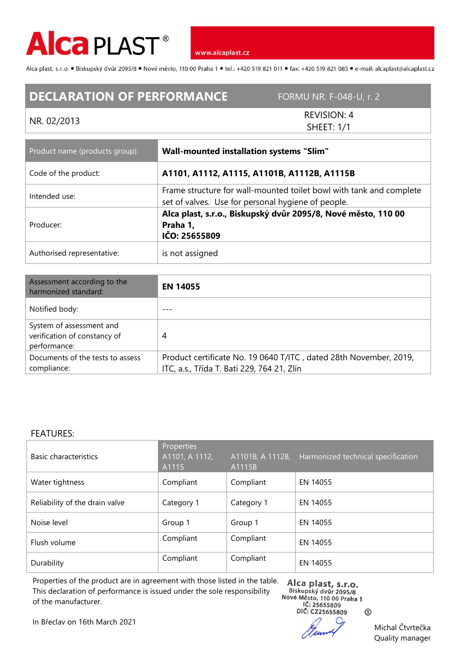

Alca plast, s.r.o. "Biskupský dvůr 2095/8 "Nové město, 110 00 Praha 1 "tel.: +420 519 821 011 "fax: +420 519 821 085 " e-mail: alcaplast@alcaplast.cz

## **DECLARATION OF PERFORMANCE** FORMU NR. F-048-U, r. 2

NR. 02/2013 REVISION: 4 SHEET: 1/1

| Product name (products group): | <b>Wall-mounted installation systems "Slim"</b>                                                                           |  |  |
|--------------------------------|---------------------------------------------------------------------------------------------------------------------------|--|--|
| Code of the product:           | A1101, A1112, A1115, A1101B, A1112B, A1115B                                                                               |  |  |
| Intended use:                  | Frame structure for wall-mounted toilet bowl with tank and complete<br>set of valves. Use for personal hygiene of people. |  |  |
| Producer:                      | Alca plast, s.r.o., Biskupský dvůr 2095/8, Nové město, 110 00<br>Praha 1,<br>IČO: 25655809                                |  |  |
| Authorised representative:     | is not assigned                                                                                                           |  |  |

| Assessment according to the<br>harmonized standard:                      | <b>EN 14055</b>                                                                                                 |
|--------------------------------------------------------------------------|-----------------------------------------------------------------------------------------------------------------|
| Notified body:                                                           |                                                                                                                 |
| System of assessment and<br>verification of constancy of<br>performance: | 4                                                                                                               |
| Documents of the tests to assess<br>compliance:                          | Product certificate No. 19 0640 T/ITC, dated 28th November, 2019,<br>ITC, a.s., Třída T. Bati 229, 764 21, Zlín |

## FEATURES:

| Basic characteristics          | Properties<br>A1101, A 1112,<br>A1115 | A1101B, A 1112B,<br>A1115B | Harmonized technical specification |
|--------------------------------|---------------------------------------|----------------------------|------------------------------------|
| Water tightness                | Compliant                             | Compliant                  | EN 14055                           |
| Reliability of the drain valve | Category 1                            | Category 1                 | EN 14055                           |
| Noise level                    | Group 1                               | Group 1                    | EN 14055                           |
| Flush volume                   | Compliant                             | Compliant                  | EN 14055                           |
| Durability                     | Compliant                             | Compliant                  | EN 14055                           |

Properties of the product are in agreement with those listed in the table. This declaration of performance is issued under the sole responsibility of the manufacturer.

Alca plast, s.r.o.<br>Biskupský dvůr 2095/8 Nové Město, 110 00 Praha 1 IČ: 25655809 DIČ: CZ25655809

Michal Čtvrtečka Quality manager

⊚

In Břeclav on 16th March 2021